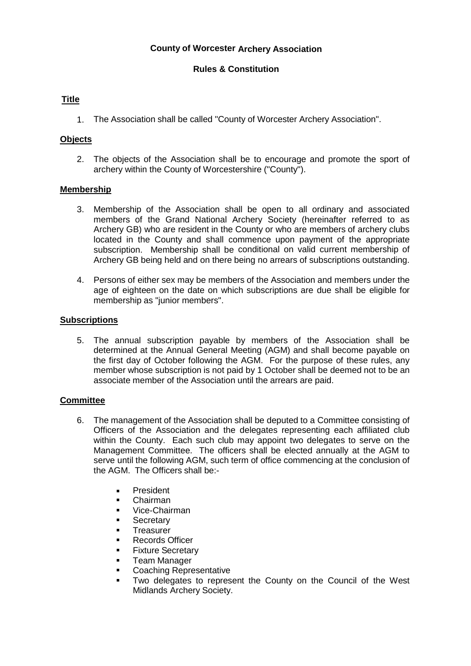## **County of Worcester Archery Association**

## **Rules & Constitution**

## **Title**

1. The Association shall be called "County of Worcester Archery Association".

## **Objects**

2. The objects of the Association shall be to encourage and promote the sport of archery within the County of Worcestershire ("County").

#### **Membership**

- 3. Membership of the Association shall be open to all ordinary and associated members of the Grand National Archery Society (hereinafter referred to as Archery GB) who are resident in the County or who are members of archery clubs located in the County and shall commence upon payment of the appropriate subscription. Membership shall be conditional on valid current membership of Archery GB being held and on there being no arrears of subscriptions outstanding.
- 4. Persons of either sex may be members of the Association and members under the age of eighteen on the date on which subscriptions are due shall be eligible for membership as "junior members".

#### **Subscriptions**

5. The annual subscription payable by members of the Association shall be determined at the Annual General Meeting (AGM) and shall become payable on the first day of October following the AGM. For the purpose of these rules, any member whose subscription is not paid by 1 October shall be deemed not to be an associate member of the Association until the arrears are paid.

## **Committee**

- 6. The management of the Association shall be deputed to a Committee consisting of Officers of the Association and the delegates representing each affiliated club within the County. Each such club may appoint two delegates to serve on the Management Committee. The officers shall be elected annually at the AGM to serve until the following AGM, such term of office commencing at the conclusion of the AGM. The Officers shall be:-
	- President
	- Chairman
	- Vice-Chairman
	- **Secretary**
	- Treasurer
	- Records Officer
	- Fixture Secretary
	- Team Manager
	- **EXECOACHING Representative**
	- Two delegates to represent the County on the Council of the West Midlands Archery Society.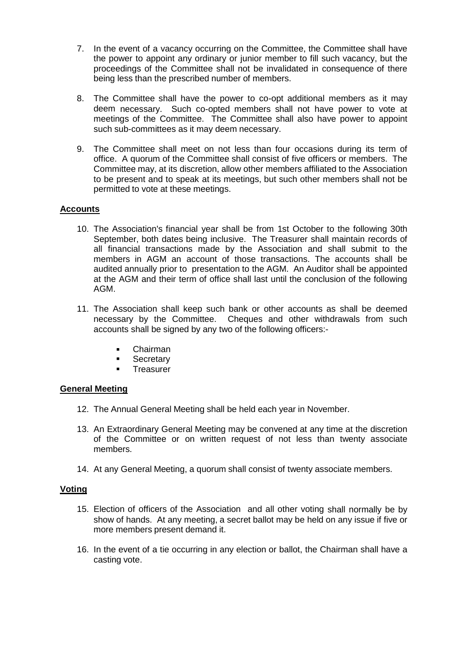- 7. In the event of a vacancy occurring on the Committee, the Committee shall have the power to appoint any ordinary or junior member to fill such vacancy, but the proceedings of the Committee shall not be invalidated in consequence of there being less than the prescribed number of members.
- 8. The Committee shall have the power to co-opt additional members as it may deem necessary. Such co-opted members shall not have power to vote at meetings of the Committee. The Committee shall also have power to appoint such sub-committees as it may deem necessary.
- 9. The Committee shall meet on not less than four occasions during its term of office. A quorum of the Committee shall consist of five officers or members. The Committee may, at its discretion, allow other members affiliated to the Association to be present and to speak at its meetings, but such other members shall not be permitted to vote at these meetings.

# **Accounts**

- 10. The Association's financial year shall be from 1st October to the following 30th September, both dates being inclusive. The Treasurer shall maintain records of all financial transactions made by the Association and shall submit to the members in AGM an account of those transactions. The accounts shall be audited annually prior to presentation to the AGM. An Auditor shall be appointed at the AGM and their term of office shall last until the conclusion of the following AGM.
- 11. The Association shall keep such bank or other accounts as shall be deemed necessary by the Committee. Cheques and other withdrawals from such accounts shall be signed by any two of the following officers:-
	- **Chairman**
	- **Secretary**
	- **Treasurer**

## **General Meeting**

- 12. The Annual General Meeting shall be held each year in November.
- 13. An Extraordinary General Meeting may be convened at any time at the discretion of the Committee or on written request of not less than twenty associate members.
- 14. At any General Meeting, a quorum shall consist of twenty associate members.

## **Voting**

- 15. Election of officers of the Association and all other voting shall normally be by show of hands. At any meeting, a secret ballot may be held on any issue if five or more members present demand it.
- 16. In the event of a tie occurring in any election or ballot, the Chairman shall have a casting vote.